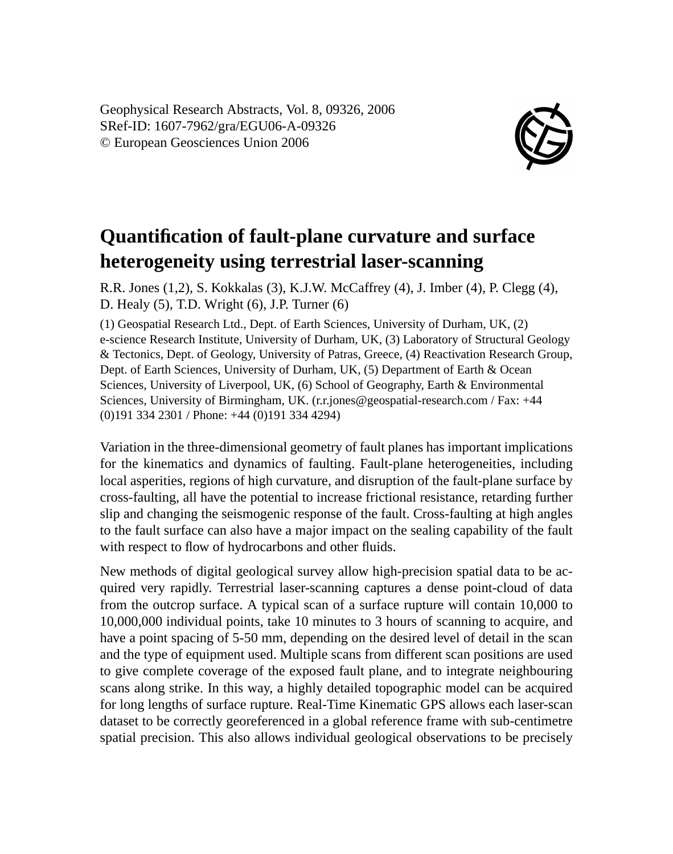Geophysical Research Abstracts, Vol. 8, 09326, 2006 SRef-ID: 1607-7962/gra/EGU06-A-09326 © European Geosciences Union 2006



## **Quantification of fault-plane curvature and surface heterogeneity using terrestrial laser-scanning**

R.R. Jones (1,2), S. Kokkalas (3), K.J.W. McCaffrey (4), J. Imber (4), P. Clegg (4), D. Healy (5), T.D. Wright (6), J.P. Turner (6)

(1) Geospatial Research Ltd., Dept. of Earth Sciences, University of Durham, UK, (2) e-science Research Institute, University of Durham, UK, (3) Laboratory of Structural Geology & Tectonics, Dept. of Geology, University of Patras, Greece, (4) Reactivation Research Group, Dept. of Earth Sciences, University of Durham, UK, (5) Department of Earth & Ocean Sciences, University of Liverpool, UK, (6) School of Geography, Earth & Environmental Sciences, University of Birmingham, UK. (r.r.jones@geospatial-research.com / Fax: +44 (0)191 334 2301 / Phone: +44 (0)191 334 4294)

Variation in the three-dimensional geometry of fault planes has important implications for the kinematics and dynamics of faulting. Fault-plane heterogeneities, including local asperities, regions of high curvature, and disruption of the fault-plane surface by cross-faulting, all have the potential to increase frictional resistance, retarding further slip and changing the seismogenic response of the fault. Cross-faulting at high angles to the fault surface can also have a major impact on the sealing capability of the fault with respect to flow of hydrocarbons and other fluids.

New methods of digital geological survey allow high-precision spatial data to be acquired very rapidly. Terrestrial laser-scanning captures a dense point-cloud of data from the outcrop surface. A typical scan of a surface rupture will contain 10,000 to 10,000,000 individual points, take 10 minutes to 3 hours of scanning to acquire, and have a point spacing of 5-50 mm, depending on the desired level of detail in the scan and the type of equipment used. Multiple scans from different scan positions are used to give complete coverage of the exposed fault plane, and to integrate neighbouring scans along strike. In this way, a highly detailed topographic model can be acquired for long lengths of surface rupture. Real-Time Kinematic GPS allows each laser-scan dataset to be correctly georeferenced in a global reference frame with sub-centimetre spatial precision. This also allows individual geological observations to be precisely